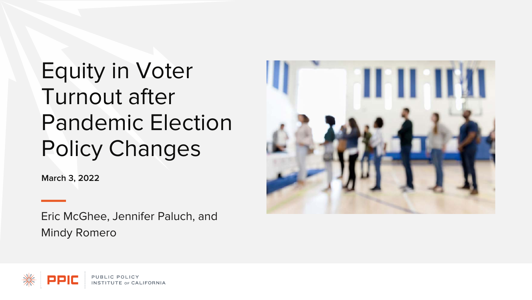# Equity in Voter Turnout after Pandemic Election Policy Changes

**March 3, 2022**

Eric McGhee, Jennifer Paluch, and Mindy Romero



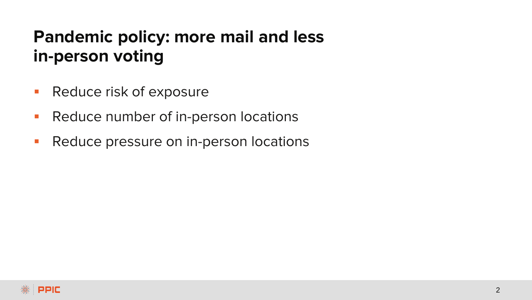# **Pandemic policy: more mail and less in-person voting**

- **Reduce risk of exposure**
- **Reduce number of in-person locations**
- **Reduce pressure on in-person locations**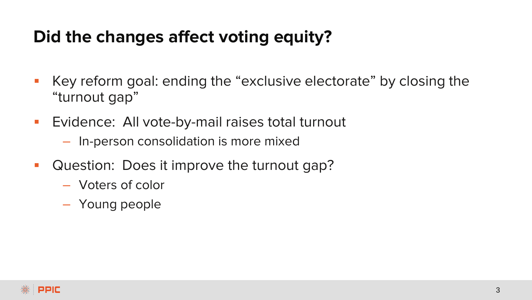### **Did the changes affect voting equity?**

- Key reform goal: ending the "exclusive electorate" by closing the "turnout gap"
- **Exidence: All vote-by-mail raises total turnout** 
	- In-person consolidation is more mixed
- Question: Does it improve the turnout gap?
	- Voters of color
	- Young people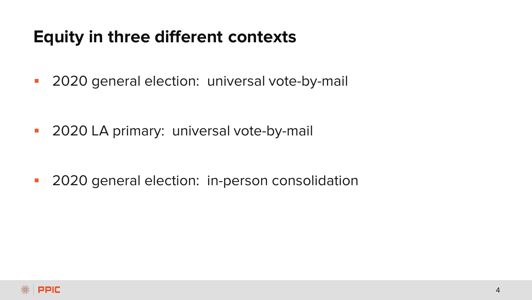### **Equity in three different contexts**

**2020** general election: universal vote-by-mail

**2020 LA primary: universal vote-by-mail** 

**2020** general election: in-person consolidation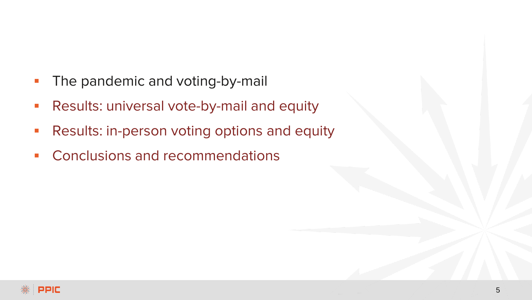- The pandemic and voting-by-mail
- **Results: universal vote-by-mail and equity**
- **Results: in-person voting options and equity**
- **Conclusions and recommendations**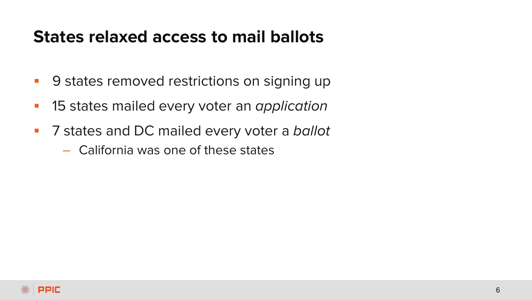### **States relaxed access to mail ballots**

- **9 states removed restrictions on signing up**
- **15 states mailed every voter an application**
- **7** States and DC mailed every voter a ballot
	- California was one of these states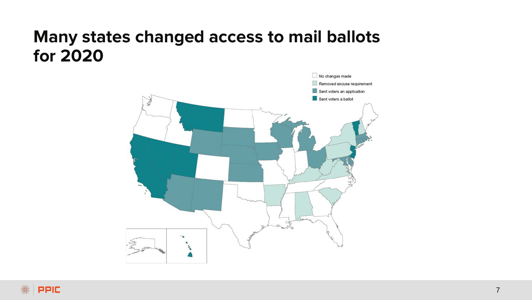### **Many states changed access to mail ballots for 2020**

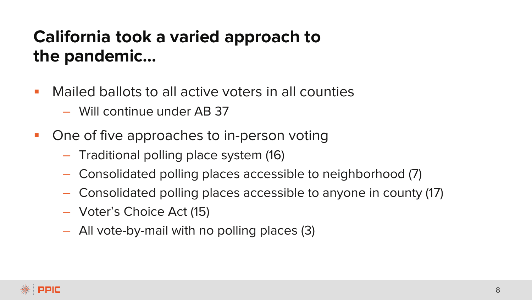# **California took a varied approach to the pandemic…**

- Mailed ballots to all active voters in all counties
	- Will continue under AB 37
- **One of five approaches to in-person voting** 
	- Traditional polling place system (16)
	- Consolidated polling places accessible to neighborhood (7)
	- Consolidated polling places accessible to anyone in county (17)
	- Voter's Choice Act (15)
	- All vote-by-mail with no polling places (3)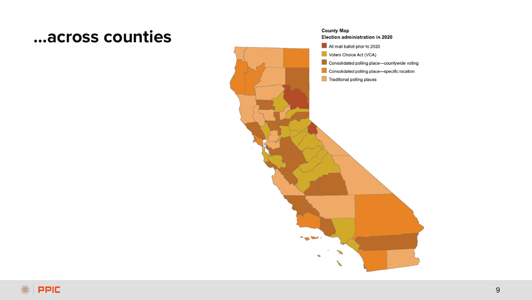#### **…across counties**



All mail ballot prior to 2020

Voters Choice Act (VCA)

- Consolidated polling place-countywide voting
- Consolidated polling place-specific location

Traditional polling places

The Warehouse of

ъ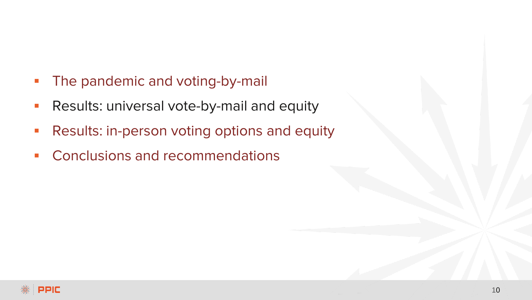- **The pandemic and voting-by-mail**
- **Results: universal vote-by-mail and equity**
- **Results: in-person voting options and equity**
- **Conclusions and recommendations**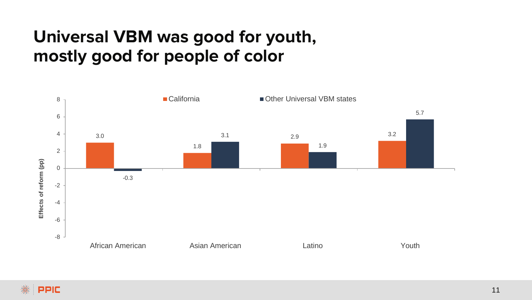# **Universal VBM was good for youth, mostly good for people of color**

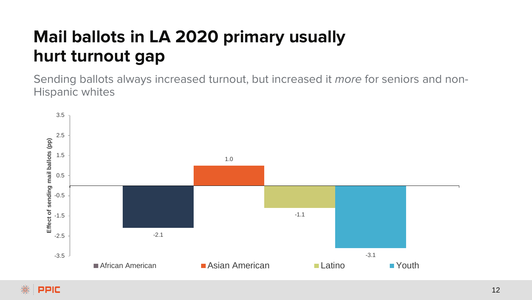# **Mail ballots in LA 2020 primary usually hurt turnout gap**

Sending ballots always increased turnout, but increased it more for seniors and non-Hispanic whites

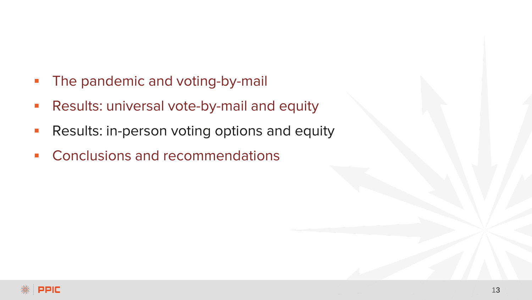- **The pandemic and voting-by-mail**
- **Results: universal vote-by-mail and equity**
- **Results: in-person voting options and equity**
- **Conclusions and recommendations**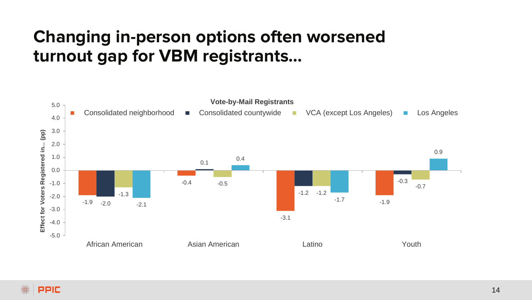# **Changing in-person options often worsened turnout gap for VBM registrants…**

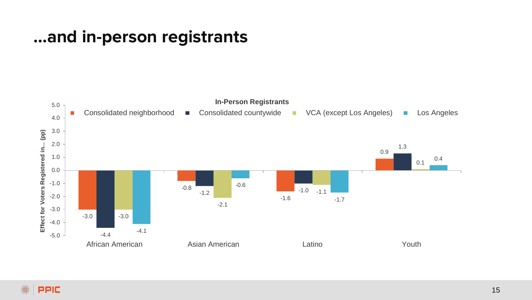### **…and in-person registrants**

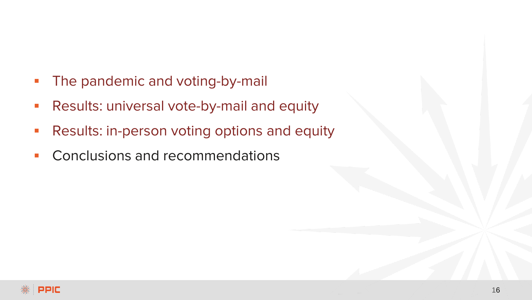- **The pandemic and voting-by-mail**
- **Results: universal vote-by-mail and equity**
- **Results: in-person voting options and equity**
- Conclusions and recommendations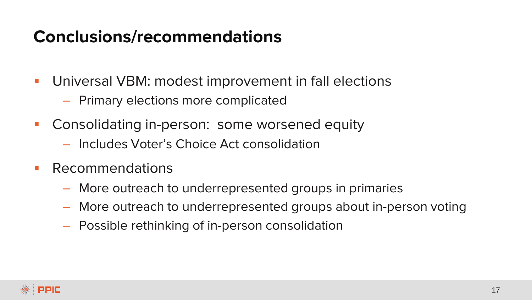### **Conclusions/recommendations**

- Universal VBM: modest improvement in fall elections
	- Primary elections more complicated
- **Consolidating in-person: some worsened equity** 
	- Includes Voter's Choice Act consolidation
- **Recommendations** 
	- More outreach to underrepresented groups in primaries
	- More outreach to underrepresented groups about in-person voting
	- Possible rethinking of in-person consolidation